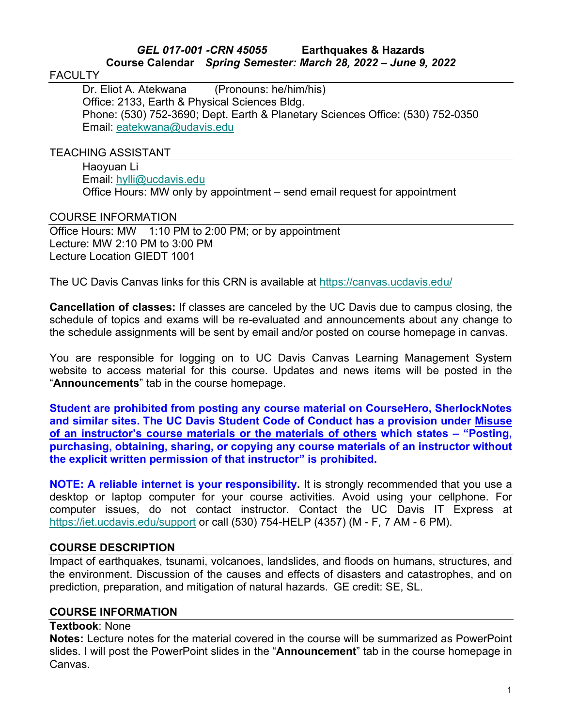## *GEL 017-001 -CRN 45055* **Earthquakes & Hazards Course Calendar** *Spring Semester: March 28, 2022 – June 9, 2022*

#### **FACULTY**

Dr. Eliot A. Atekwana (Pronouns: he/him/his) Office: 2133, Earth & Physical Sciences Bldg. Phone: (530) 752-3690; Dept. Earth & Planetary Sciences Office: (530) 752-0350 Email: [eatekwana@udavis.edu](mailto:eatekwana@udavis.edu)

#### TEACHING ASSISTANT

Haoyuan Li Email: [hylli@ucdavis.edu](mailto:hylli@ucdavis.edu) Office Hours: MW only by appointment – send email request for appointment

### COURSE INFORMATION

Office Hours: MW 1:10 PM to 2:00 PM; or by appointment Lecture: MW 2:10 PM to 3:00 PM Lecture Location GIEDT 1001

The UC Davis Canvas links for this CRN is available at<https://canvas.ucdavis.edu/>

**Cancellation of classes:** If classes are canceled by the UC Davis due to campus closing, the schedule of topics and exams will be re-evaluated and announcements about any change to the schedule assignments will be sent by email and/or posted on course homepage in canvas.

You are responsible for logging on to UC Davis Canvas Learning Management System website to access material for this course. Updates and news items will be posted in the "**Announcements**" tab in the course homepage.

**Student are prohibited from posting any course material on CourseHero, SherlockNotes and similar sites. The UC Davis Student Code of Conduct has a provision under Misuse of an instructor's course materials or the materials of others which states – "Posting, purchasing, obtaining, sharing, or copying any course materials of an instructor without the explicit written permission of that instructor" is prohibited.**

**NOTE: A reliable internet is your responsibility.** It is strongly recommended that you use a desktop or laptop computer for your course activities. Avoid using your cellphone. For computer issues, do not contact instructor. Contact the UC Davis IT Express at <https://iet.ucdavis.edu/support> or call (530) 754-HELP (4357) (M - F, 7 AM - 6 PM).

### **COURSE DESCRIPTION**

Impact of earthquakes, tsunami, volcanoes, landslides, and floods on humans, structures, and the environment. Discussion of the causes and effects of disasters and catastrophes, and on prediction, preparation, and mitigation of natural hazards. GE credit: SE, SL.

### **COURSE INFORMATION**

#### **Textbook**: None

**Notes:** Lecture notes for the material covered in the course will be summarized as PowerPoint slides. I will post the PowerPoint slides in the "**Announcement**" tab in the course homepage in Canvas.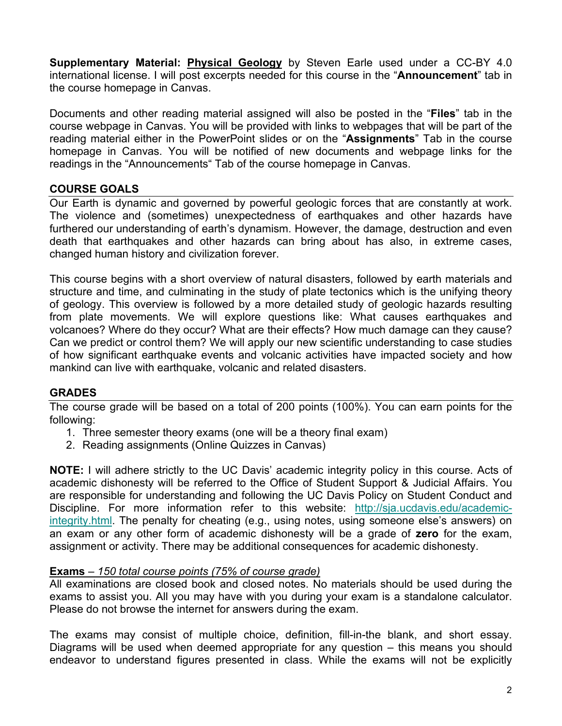**Supplementary Material: Physical Geology** by Steven Earle used under a CC-BY 4.0 international license. I will post excerpts needed for this course in the "**Announcement**" tab in the course homepage in Canvas.

Documents and other reading material assigned will also be posted in the "**Files**" tab in the course webpage in Canvas. You will be provided with links to webpages that will be part of the reading material either in the PowerPoint slides or on the "**Assignments**" Tab in the course homepage in Canvas. You will be notified of new documents and webpage links for the readings in the "Announcements" Tab of the course homepage in Canvas.

## **COURSE GOALS**

Our Earth is dynamic and governed by powerful geologic forces that are constantly at work. The violence and (sometimes) unexpectedness of earthquakes and other hazards have furthered our understanding of earth's dynamism. However, the damage, destruction and even death that earthquakes and other hazards can bring about has also, in extreme cases, changed human history and civilization forever.

This course begins with a short overview of natural disasters, followed by earth materials and structure and time, and culminating in the study of plate tectonics which is the unifying theory of geology. This overview is followed by a more detailed study of geologic hazards resulting from plate movements. We will explore questions like: What causes earthquakes and volcanoes? Where do they occur? What are their effects? How much damage can they cause? Can we predict or control them? We will apply our new scientific understanding to case studies of how significant earthquake events and volcanic activities have impacted society and how mankind can live with earthquake, volcanic and related disasters.

### **GRADES**

The course grade will be based on a total of 200 points (100%). You can earn points for the following:

- 1. Three semester theory exams (one will be a theory final exam)
- 2. Reading assignments (Online Quizzes in Canvas)

**NOTE:** I will adhere strictly to the UC Davis' academic integrity policy in this course. Acts of academic dishonesty will be referred to the Office of Student Support & Judicial Affairs. You are responsible for understanding and following the UC Davis Policy on Student Conduct and Discipline. For more information refer to this website: [http://sja.ucdavis.edu/academic](http://sja.ucdavis.edu/academic-integrity.html)[integrity.html.](http://sja.ucdavis.edu/academic-integrity.html) The penalty for cheating (e.g., using notes, using someone else's answers) on an exam or any other form of academic dishonesty will be a grade of **zero** for the exam, assignment or activity. There may be additional consequences for academic dishonesty.

### **Exams** *– 150 total course points (75% of course grade)*

All examinations are closed book and closed notes. No materials should be used during the exams to assist you. All you may have with you during your exam is a standalone calculator. Please do not browse the internet for answers during the exam.

The exams may consist of multiple choice, definition, fill-in-the blank, and short essay. Diagrams will be used when deemed appropriate for any question – this means you should endeavor to understand figures presented in class. While the exams will not be explicitly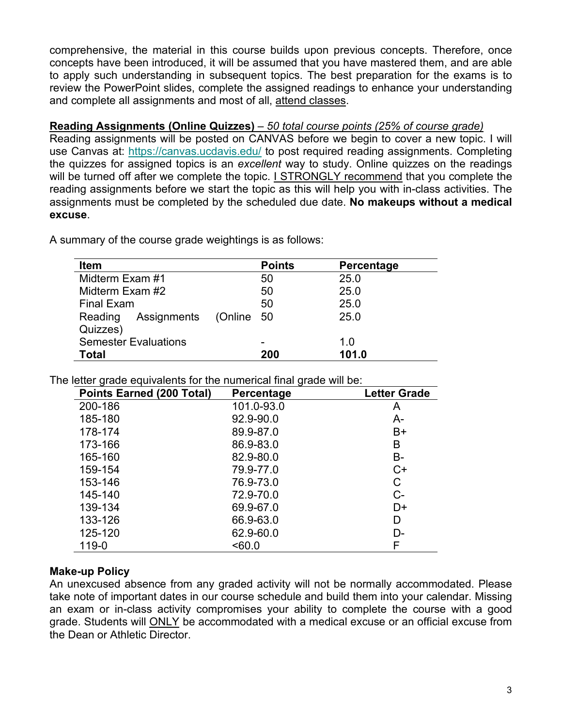comprehensive, the material in this course builds upon previous concepts. Therefore, once concepts have been introduced, it will be assumed that you have mastered them, and are able to apply such understanding in subsequent topics. The best preparation for the exams is to review the PowerPoint slides, complete the assigned readings to enhance your understanding and complete all assignments and most of all, attend classes.

## **Reading Assignments (Online Quizzes)** *– 50 total course points (25% of course grade)*

Reading assignments will be posted on CANVAS before we begin to cover a new topic. I will use Canvas at:<https://canvas.ucdavis.edu/> to post required reading assignments. Completing the quizzes for assigned topics is an *excellent* way to study. Online quizzes on the readings will be turned off after we complete the topic. I STRONGLY recommend that you complete the reading assignments before we start the topic as this will help you with in-class activities. The assignments must be completed by the scheduled due date. **No makeups without a medical excuse**.

| Item                        |         | <b>Points</b> | Percentage |
|-----------------------------|---------|---------------|------------|
| Midterm Exam #1             |         | 50            | 25.0       |
| Midterm Exam #2             |         | 50            | 25.0       |
| <b>Final Exam</b>           |         | 50            | 25.0       |
| Assignments<br>Reading      | (Online | 50            | 25.0       |
| Quizzes)                    |         |               |            |
| <b>Semester Evaluations</b> |         | -             | 1.0        |
| Total                       |         | 200           | 101.0      |

A summary of the course grade weightings is as follows:

The letter grade equivalents for the numerical final grade will be:

| <b>Points Earned (200 Total)</b> | Percentage | <b>Letter Grade</b> |
|----------------------------------|------------|---------------------|
| 200-186                          | 101.0-93.0 | A                   |
| 185-180                          | 92.9-90.0  | $A-$                |
| 178-174                          | 89.9-87.0  | B+                  |
| 173-166                          | 86.9-83.0  | B                   |
| 165-160                          | 82.9-80.0  | В-                  |
| 159-154                          | 79.9-77.0  | $C+$                |
| 153-146                          | 76.9-73.0  | С                   |
| 145-140                          | 72.9-70.0  | $C-$                |
| 139-134                          | 69.9-67.0  | D+                  |
| 133-126                          | 66.9-63.0  | D                   |
| 125-120                          | 62.9-60.0  | D-                  |
| 119-0                            | < 60.0     | F                   |

# **Make-up Policy**

An unexcused absence from any graded activity will not be normally accommodated. Please take note of important dates in our course schedule and build them into your calendar. Missing an exam or in-class activity compromises your ability to complete the course with a good grade. Students will ONLY be accommodated with a medical excuse or an official excuse from the Dean or Athletic Director.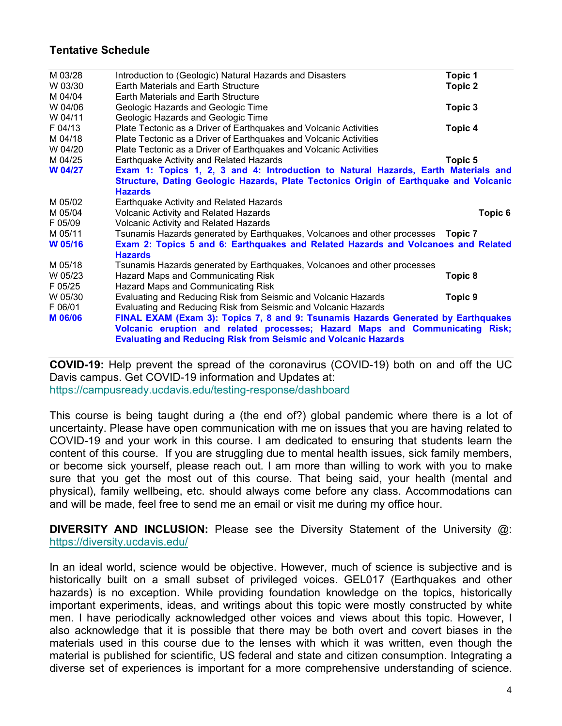## **Tentative Schedule**

| M 03/28        | Introduction to (Geologic) Natural Hazards and Disasters                              | Topic 1 |  |  |
|----------------|---------------------------------------------------------------------------------------|---------|--|--|
| W 03/30        | Earth Materials and Earth Structure                                                   | Topic 2 |  |  |
| M 04/04        | Earth Materials and Earth Structure                                                   |         |  |  |
| W 04/06        | Geologic Hazards and Geologic Time                                                    | Topic 3 |  |  |
| W 04/11        | Geologic Hazards and Geologic Time                                                    |         |  |  |
| F 04/13        | Plate Tectonic as a Driver of Earthquakes and Volcanic Activities                     | Topic 4 |  |  |
| M 04/18        | Plate Tectonic as a Driver of Earthquakes and Volcanic Activities                     |         |  |  |
| W 04/20        | Plate Tectonic as a Driver of Earthquakes and Volcanic Activities                     |         |  |  |
| M 04/25        | Earthquake Activity and Related Hazards                                               | Topic 5 |  |  |
| W 04/27        | Exam 1: Topics 1, 2, 3 and 4: Introduction to Natural Hazards, Earth Materials and    |         |  |  |
|                | Structure, Dating Geologic Hazards, Plate Tectonics Origin of Earthquake and Volcanic |         |  |  |
|                | <b>Hazards</b>                                                                        |         |  |  |
| M 05/02        | Earthquake Activity and Related Hazards                                               |         |  |  |
| M 05/04        | <b>Volcanic Activity and Related Hazards</b>                                          | Topic 6 |  |  |
| F 05/09        | <b>Volcanic Activity and Related Hazards</b>                                          |         |  |  |
| M 05/11        | Tsunamis Hazards generated by Earthquakes, Volcanoes and other processes  Topic 7     |         |  |  |
| W 05/16        | Exam 2: Topics 5 and 6: Earthquakes and Related Hazards and Volcanoes and Related     |         |  |  |
|                | <b>Hazards</b>                                                                        |         |  |  |
| M 05/18        | Tsunamis Hazards generated by Earthquakes, Volcanoes and other processes              |         |  |  |
| W 05/23        | Hazard Maps and Communicating Risk                                                    | Topic 8 |  |  |
| F 05/25        | <b>Hazard Maps and Communicating Risk</b>                                             |         |  |  |
| W 05/30        | Evaluating and Reducing Risk from Seismic and Volcanic Hazards                        | Topic 9 |  |  |
| F 06/01        | Evaluating and Reducing Risk from Seismic and Volcanic Hazards                        |         |  |  |
| <b>M 06/06</b> | FINAL EXAM (Exam 3): Topics 7, 8 and 9: Tsunamis Hazards Generated by Earthquakes     |         |  |  |
|                | Volcanic eruption and related processes; Hazard Maps and Communicating Risk;          |         |  |  |
|                | <b>Evaluating and Reducing Risk from Seismic and Volcanic Hazards</b>                 |         |  |  |

**COVID-19:** Help prevent the spread of the [coronavirus \(COVID-19\) both on and off the UC](https://youtu.be/7S_wkWvEStI) Davis [campus.](https://youtu.be/7S_wkWvEStI) Get COVID-19 information and Updates at: <https://campusready.ucdavis.edu/testing-response/dashboard>

This course is being taught during a (the end of?) global pandemic where there is a lot of uncertainty. Please have open communication with me on issues that you are having related to COVID-19 and your work in this course. I am dedicated to ensuring that students learn the content of this course. If you are struggling due to mental health issues, sick family members, or become sick yourself, please reach out. I am more than willing to work with you to make sure that you get the most out of this course. That being said, your health (mental and physical), family wellbeing, etc. should always come before any class. Accommodations can and will be made, feel free to send me an email or visit me during my office hour.

**DIVERSITY AND INCLUSION:** Please see the Diversity Statement of the University @: <https://diversity.ucdavis.edu/>

In an ideal world, science would be objective. However, much of science is subjective and is historically built on a small subset of privileged voices. GEL017 (Earthquakes and other hazards) is no exception. While providing foundation knowledge on the topics, historically important experiments, ideas, and writings about this topic were mostly constructed by white men. I have periodically acknowledged other voices and views about this topic. However, I also acknowledge that it is possible that there may be both overt and covert biases in the materials used in this course due to the lenses with which it was written, even though the material is published for scientific, US federal and state and citizen consumption. Integrating a diverse set of experiences is important for a more comprehensive understanding of science.